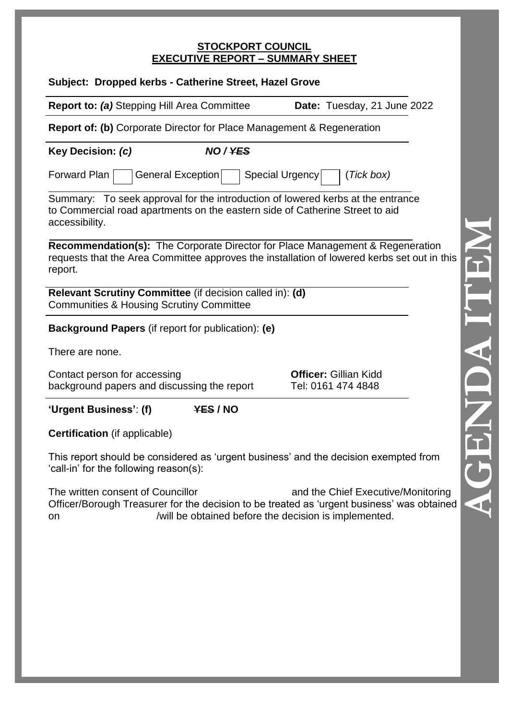# **STOCKPORT COUNCIL EXECUTIVE REPORT – SUMMARY SHEET**

| Subject: Dropped kerbs - Catherine Street, Hazel Grove                                                                                                                                  |                                                    |
|-----------------------------------------------------------------------------------------------------------------------------------------------------------------------------------------|----------------------------------------------------|
| <b>Report to: (a)</b> Stepping Hill Area Committee                                                                                                                                      | Date: Tuesday, 21 June 2022                        |
| <b>Report of: (b)</b> Corporate Director for Place Management & Regeneration                                                                                                            |                                                    |
| NO/YES<br>Key Decision: (c)                                                                                                                                                             |                                                    |
| General Exception<br>Forward Plan<br>Special Urgency                                                                                                                                    | (Tick box)                                         |
| Summary: To seek approval for the introduction of lowered kerbs at the entrance<br>to Commercial road apartments on the eastern side of Catherine Street to aid<br>accessibility.       |                                                    |
| Recommendation(s): The Corporate Director for Place Management & Regeneration<br>requests that the Area Committee approves the installation of lowered kerbs set out in this<br>report. |                                                    |
| Relevant Scrutiny Committee (if decision called in): (d)<br><b>Communities &amp; Housing Scrutiny Committee</b>                                                                         |                                                    |
| <b>Background Papers</b> (if report for publication): (e)                                                                                                                               |                                                    |
| There are none.                                                                                                                                                                         |                                                    |
| Contact person for accessing<br>background papers and discussing the report                                                                                                             | <b>Officer: Gillian Kidd</b><br>Tel: 0161 474 4848 |
| 'Urgent Business': (f)<br>YES / NO                                                                                                                                                      |                                                    |
| <b>Certification</b> (if applicable)                                                                                                                                                    |                                                    |
| This report should be considered as 'urgent business' and the decision exempted from<br>'call-in' for the following reason(s):                                                          |                                                    |

The written consent of Councillor **and the Chief Executive/Monitoring** Officer/Borough Treasurer for the decision to be treated as 'urgent business' was obtained on /will be obtained before the decision is implemented.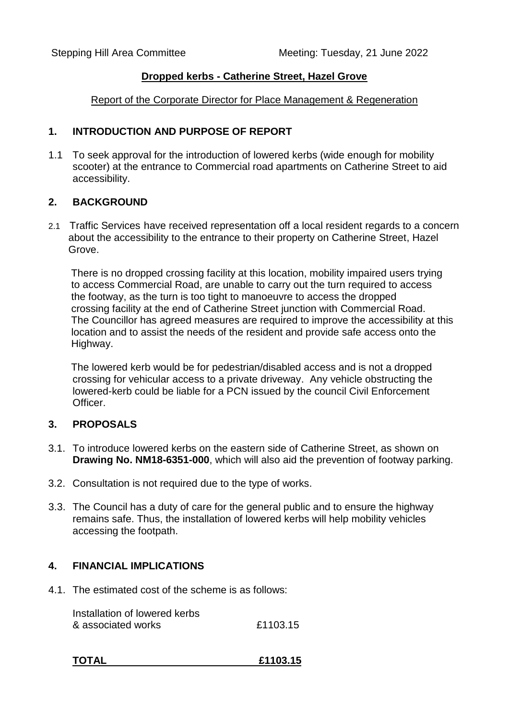### **Dropped kerbs - Catherine Street, Hazel Grove**

Report of the Corporate Director for Place Management & Regeneration

### **1. INTRODUCTION AND PURPOSE OF REPORT**

1.1 To seek approval for the introduction of lowered kerbs (wide enough for mobility scooter) at the entrance to Commercial road apartments on Catherine Street to aid accessibility.

# **2. BACKGROUND**

2.1 Traffic Services have received representation off a local resident regards to a concern about the accessibility to the entrance to their property on Catherine Street, Hazel Grove.

 There is no dropped crossing facility at this location, mobility impaired users trying to access Commercial Road, are unable to carry out the turn required to access the footway, as the turn is too tight to manoeuvre to access the dropped crossing facility at the end of Catherine Street junction with Commercial Road. The Councillor has agreed measures are required to improve the accessibility at this location and to assist the needs of the resident and provide safe access onto the Highway.

 The lowered kerb would be for pedestrian/disabled access and is not a dropped crossing for vehicular access to a private driveway. Any vehicle obstructing the lowered-kerb could be liable for a PCN issued by the council Civil Enforcement Officer.

#### **3. PROPOSALS**

- 3.1. To introduce lowered kerbs on the eastern side of Catherine Street, as shown on **Drawing No. NM18-6351-000**, which will also aid the prevention of footway parking.
- 3.2. Consultation is not required due to the type of works.
- 3.3. The Council has a duty of care for the general public and to ensure the highway remains safe. Thus, the installation of lowered kerbs will help mobility vehicles accessing the footpath.

# **4. FINANCIAL IMPLICATIONS**

4.1. The estimated cost of the scheme is as follows:

Installation of lowered kerbs & associated works £1103.15

| <b>TOTAL</b> | £1103.15 |
|--------------|----------|
|              |          |